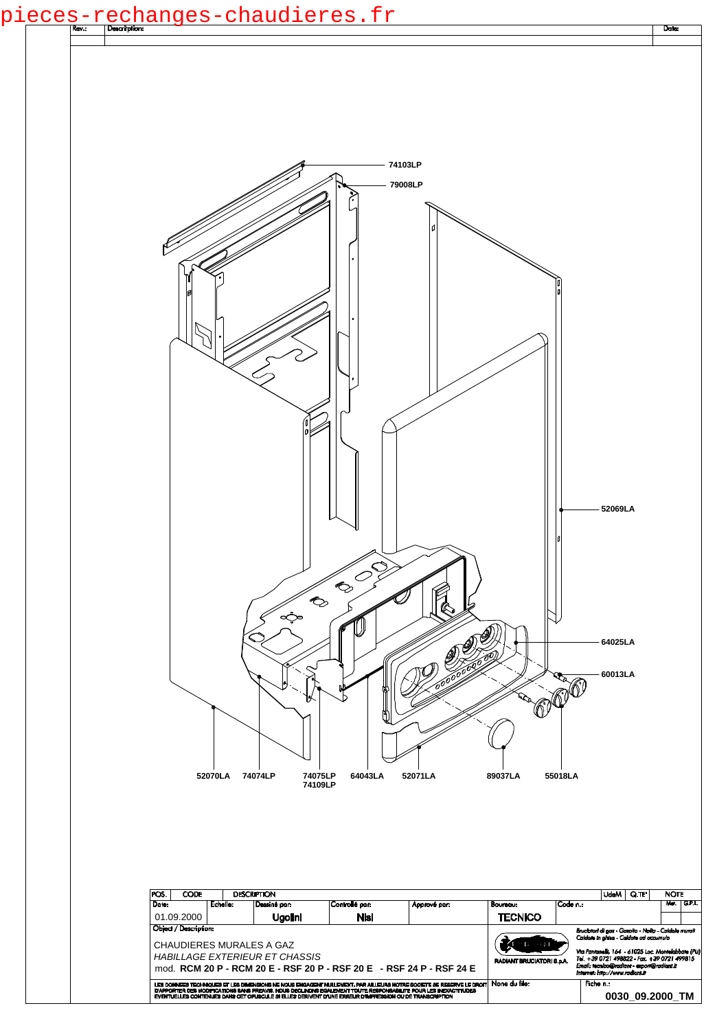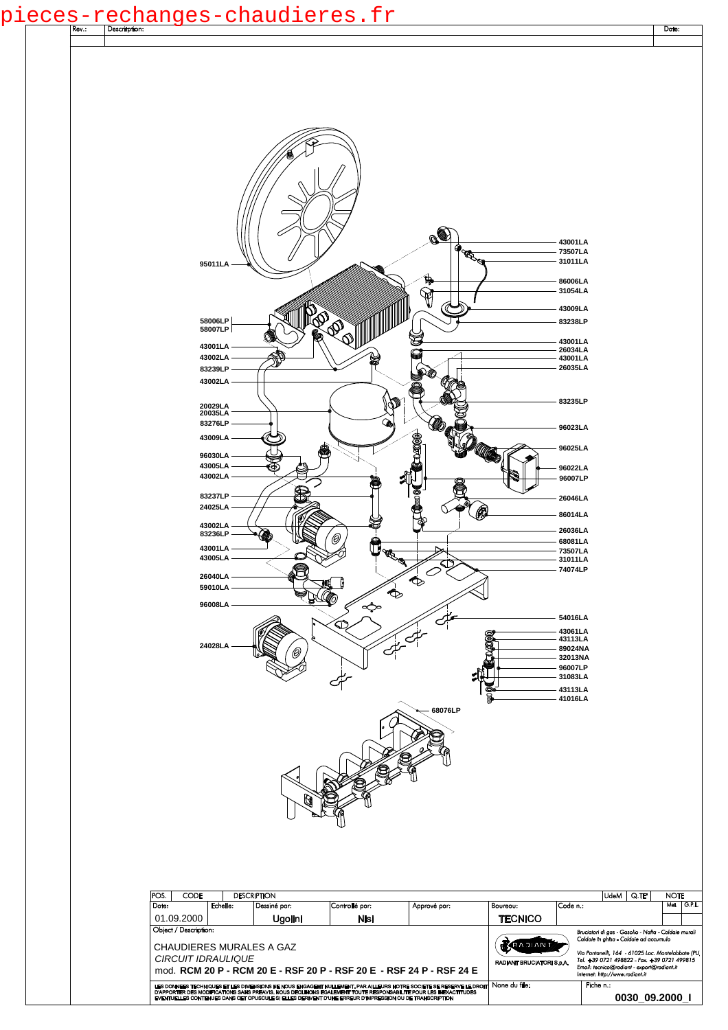## pi<u>eces-rechanges-chaudieres.fr</u>

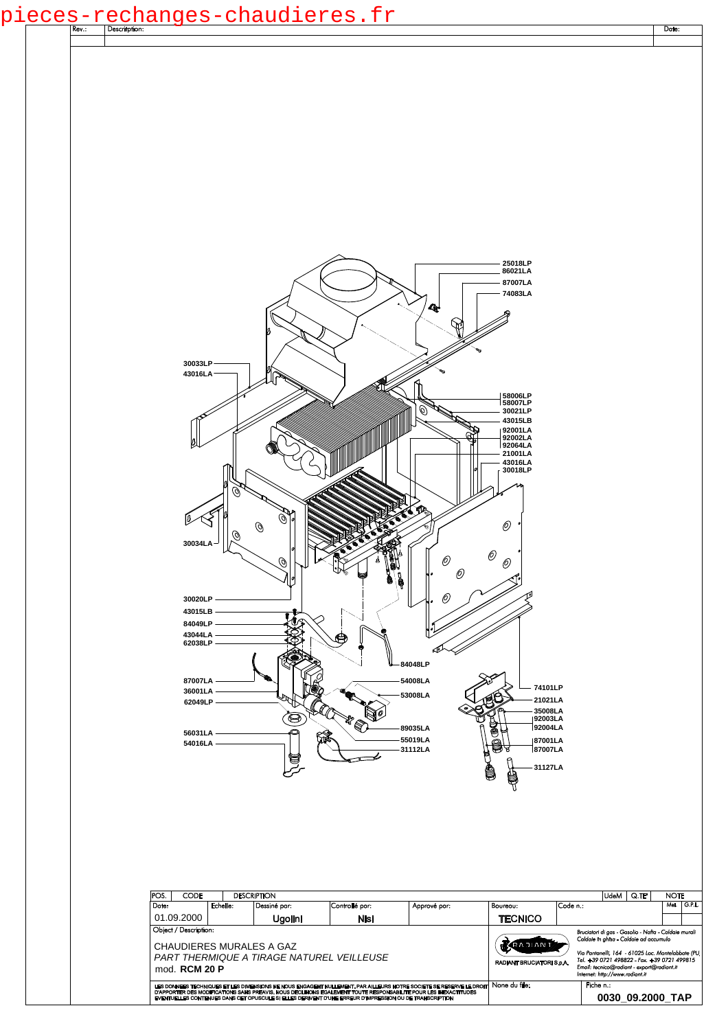